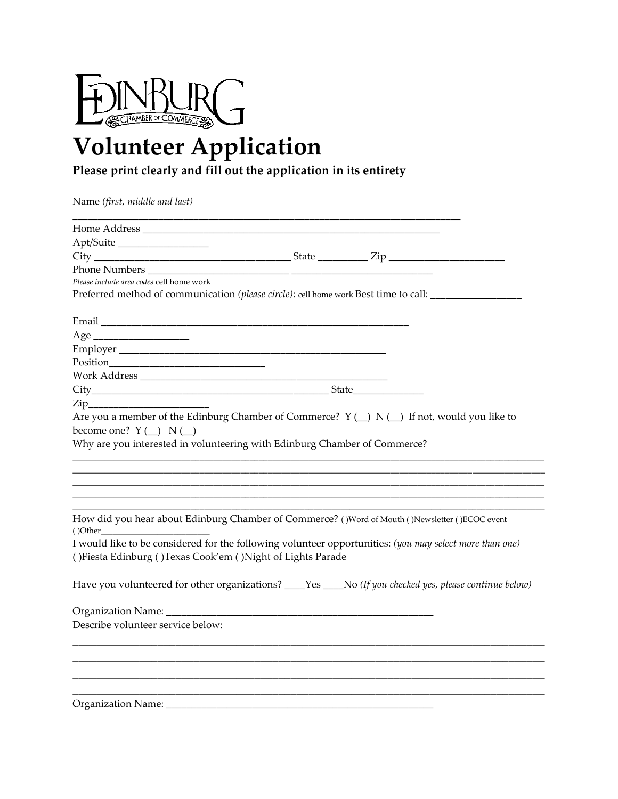

## **Volunteer Application**

**Please print clearly and fill out the application in its entirety**

Name *(first, middle and last)* 

| Apt/Suite                                                                                                                                     |  |  |
|-----------------------------------------------------------------------------------------------------------------------------------------------|--|--|
|                                                                                                                                               |  |  |
|                                                                                                                                               |  |  |
| Please include area codes cell home work                                                                                                      |  |  |
| Preferred method of communication (please circle): cell home work Best time to call:                                                          |  |  |
|                                                                                                                                               |  |  |
|                                                                                                                                               |  |  |
| Age                                                                                                                                           |  |  |
|                                                                                                                                               |  |  |
|                                                                                                                                               |  |  |
|                                                                                                                                               |  |  |
|                                                                                                                                               |  |  |
|                                                                                                                                               |  |  |
| Are you a member of the Edinburg Chamber of Commerce? $Y(\underline{\hspace{0.5cm}}) N(\underline{\hspace{0.5cm}})$ If not, would you like to |  |  |
| become one? $Y(\_) N(\_)$                                                                                                                     |  |  |
| Why are you interested in volunteering with Edinburg Chamber of Commerce?                                                                     |  |  |
|                                                                                                                                               |  |  |
|                                                                                                                                               |  |  |
|                                                                                                                                               |  |  |
|                                                                                                                                               |  |  |
|                                                                                                                                               |  |  |
| How did you hear about Edinburg Chamber of Commerce? ()Word of Mouth ()Newsletter ()ECOC event                                                |  |  |
| I would like to be considered for the following volunteer opportunities: (you may select more than one)                                       |  |  |
|                                                                                                                                               |  |  |
| () Fiesta Edinburg () Texas Cook'em () Night of Lights Parade                                                                                 |  |  |
|                                                                                                                                               |  |  |
| Have you volunteered for other organizations? ___Yes ___No (If you checked yes, please continue below)                                        |  |  |
|                                                                                                                                               |  |  |
|                                                                                                                                               |  |  |
| Describe volunteer service below:                                                                                                             |  |  |
|                                                                                                                                               |  |  |
|                                                                                                                                               |  |  |
|                                                                                                                                               |  |  |
|                                                                                                                                               |  |  |
| Organization Name:                                                                                                                            |  |  |
|                                                                                                                                               |  |  |